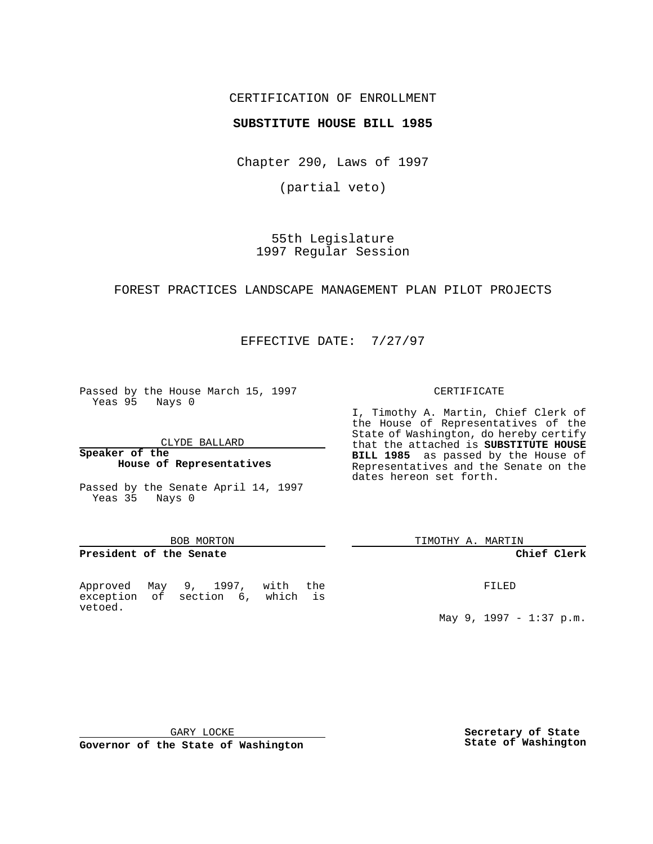## CERTIFICATION OF ENROLLMENT

## **SUBSTITUTE HOUSE BILL 1985**

Chapter 290, Laws of 1997

(partial veto)

55th Legislature 1997 Regular Session

## FOREST PRACTICES LANDSCAPE MANAGEMENT PLAN PILOT PROJECTS

EFFECTIVE DATE: 7/27/97

Passed by the House March 15, 1997 Yeas 95 Nays 0

CLYDE BALLARD

#### **Speaker of the House of Representatives**

Passed by the Senate April 14, 1997 Yeas 35 Nays 0

#### BOB MORTON

## **President of the Senate**

Approved May 9, 1997, with the exception of section 6, which is vetoed.

#### CERTIFICATE

I, Timothy A. Martin, Chief Clerk of the House of Representatives of the State of Washington, do hereby certify that the attached is **SUBSTITUTE HOUSE BILL 1985** as passed by the House of Representatives and the Senate on the dates hereon set forth.

TIMOTHY A. MARTIN

### **Chief Clerk**

FILED

May 9, 1997 - 1:37 p.m.

GARY LOCKE

**Governor of the State of Washington**

**Secretary of State State of Washington**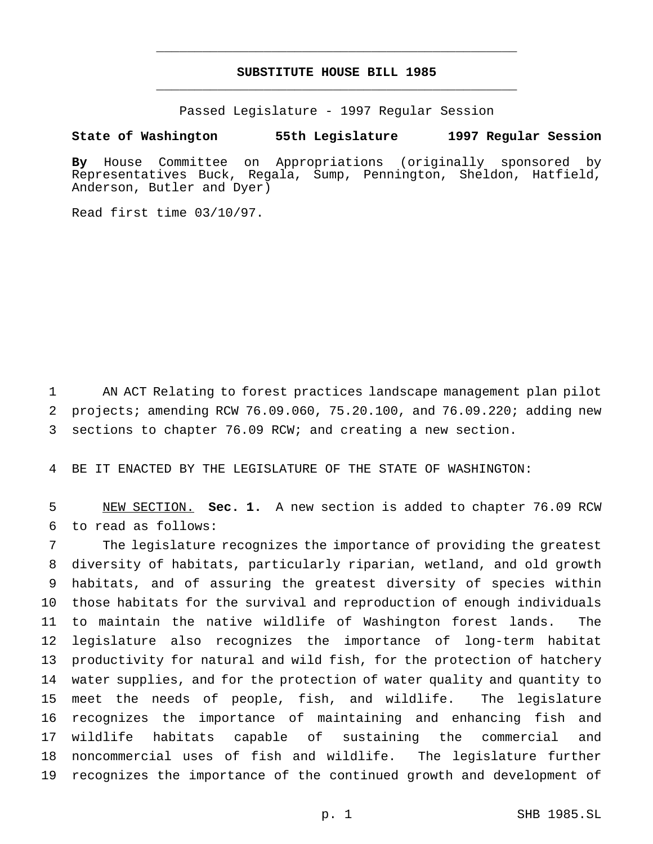# **SUBSTITUTE HOUSE BILL 1985** \_\_\_\_\_\_\_\_\_\_\_\_\_\_\_\_\_\_\_\_\_\_\_\_\_\_\_\_\_\_\_\_\_\_\_\_\_\_\_\_\_\_\_\_\_\_\_

\_\_\_\_\_\_\_\_\_\_\_\_\_\_\_\_\_\_\_\_\_\_\_\_\_\_\_\_\_\_\_\_\_\_\_\_\_\_\_\_\_\_\_\_\_\_\_

Passed Legislature - 1997 Regular Session

### **State of Washington 55th Legislature 1997 Regular Session**

**By** House Committee on Appropriations (originally sponsored by Representatives Buck, Regala, Sump, Pennington, Sheldon, Hatfield, Anderson, Butler and Dyer)

Read first time 03/10/97.

 AN ACT Relating to forest practices landscape management plan pilot projects; amending RCW 76.09.060, 75.20.100, and 76.09.220; adding new sections to chapter 76.09 RCW; and creating a new section.

BE IT ENACTED BY THE LEGISLATURE OF THE STATE OF WASHINGTON:

 NEW SECTION. **Sec. 1.** A new section is added to chapter 76.09 RCW to read as follows:

 The legislature recognizes the importance of providing the greatest diversity of habitats, particularly riparian, wetland, and old growth habitats, and of assuring the greatest diversity of species within those habitats for the survival and reproduction of enough individuals to maintain the native wildlife of Washington forest lands. The legislature also recognizes the importance of long-term habitat productivity for natural and wild fish, for the protection of hatchery water supplies, and for the protection of water quality and quantity to meet the needs of people, fish, and wildlife. The legislature recognizes the importance of maintaining and enhancing fish and wildlife habitats capable of sustaining the commercial and noncommercial uses of fish and wildlife. The legislature further recognizes the importance of the continued growth and development of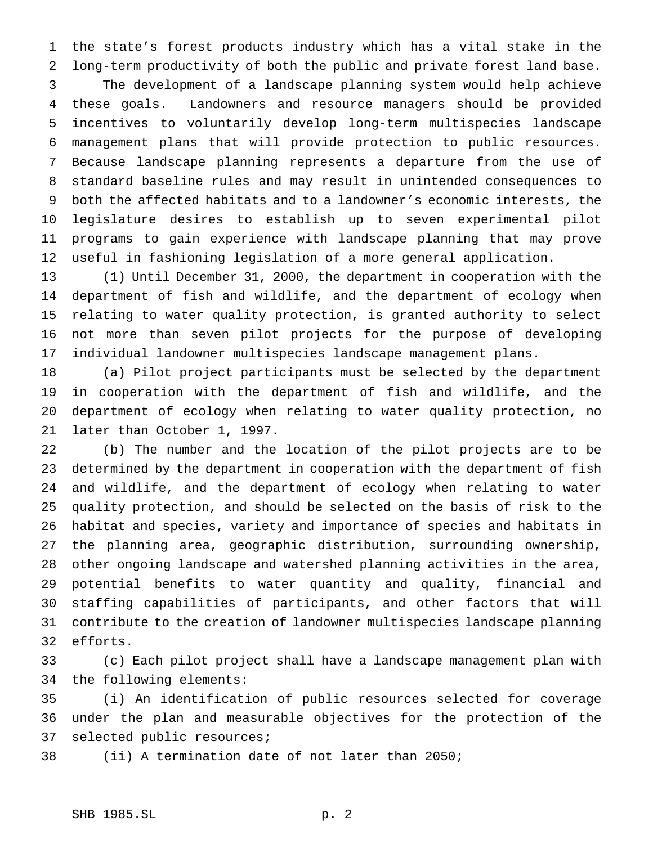the state's forest products industry which has a vital stake in the long-term productivity of both the public and private forest land base. The development of a landscape planning system would help achieve these goals. Landowners and resource managers should be provided incentives to voluntarily develop long-term multispecies landscape management plans that will provide protection to public resources. Because landscape planning represents a departure from the use of standard baseline rules and may result in unintended consequences to both the affected habitats and to a landowner's economic interests, the legislature desires to establish up to seven experimental pilot programs to gain experience with landscape planning that may prove useful in fashioning legislation of a more general application.

 (1) Until December 31, 2000, the department in cooperation with the department of fish and wildlife, and the department of ecology when relating to water quality protection, is granted authority to select not more than seven pilot projects for the purpose of developing individual landowner multispecies landscape management plans.

 (a) Pilot project participants must be selected by the department in cooperation with the department of fish and wildlife, and the department of ecology when relating to water quality protection, no later than October 1, 1997.

 (b) The number and the location of the pilot projects are to be determined by the department in cooperation with the department of fish and wildlife, and the department of ecology when relating to water quality protection, and should be selected on the basis of risk to the habitat and species, variety and importance of species and habitats in the planning area, geographic distribution, surrounding ownership, other ongoing landscape and watershed planning activities in the area, potential benefits to water quantity and quality, financial and staffing capabilities of participants, and other factors that will contribute to the creation of landowner multispecies landscape planning efforts.

 (c) Each pilot project shall have a landscape management plan with the following elements:

 (i) An identification of public resources selected for coverage under the plan and measurable objectives for the protection of the selected public resources;

(ii) A termination date of not later than 2050;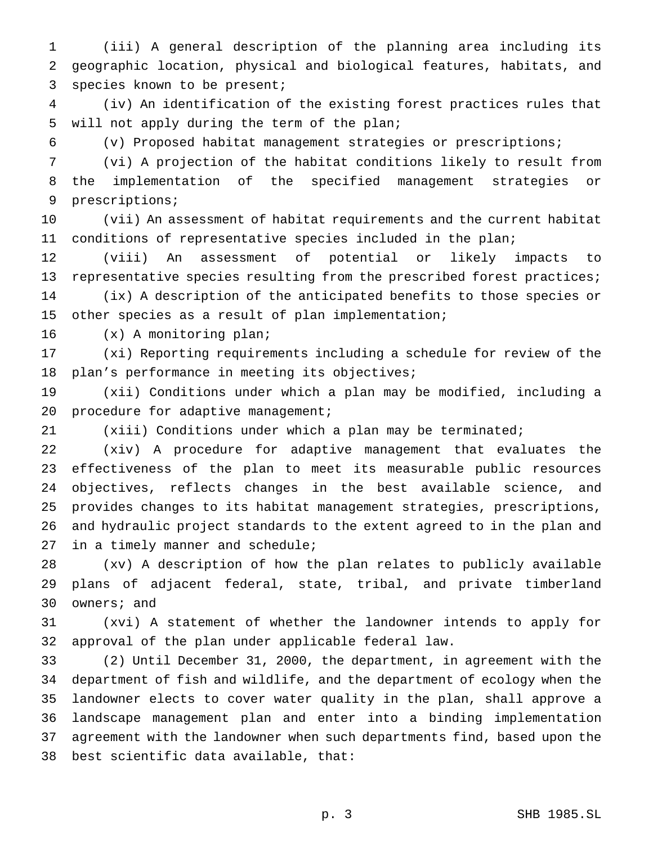(iii) A general description of the planning area including its geographic location, physical and biological features, habitats, and species known to be present;

 (iv) An identification of the existing forest practices rules that will not apply during the term of the plan;

(v) Proposed habitat management strategies or prescriptions;

 (vi) A projection of the habitat conditions likely to result from the implementation of the specified management strategies or prescriptions;

 (vii) An assessment of habitat requirements and the current habitat conditions of representative species included in the plan;

 (viii) An assessment of potential or likely impacts to representative species resulting from the prescribed forest practices; (ix) A description of the anticipated benefits to those species or other species as a result of plan implementation;

(x) A monitoring plan;

 (xi) Reporting requirements including a schedule for review of the plan's performance in meeting its objectives;

 (xii) Conditions under which a plan may be modified, including a 20 procedure for adaptive management;

(xiii) Conditions under which a plan may be terminated;

 (xiv) A procedure for adaptive management that evaluates the effectiveness of the plan to meet its measurable public resources objectives, reflects changes in the best available science, and provides changes to its habitat management strategies, prescriptions, and hydraulic project standards to the extent agreed to in the plan and 27 in a timely manner and schedule;

 (xv) A description of how the plan relates to publicly available plans of adjacent federal, state, tribal, and private timberland owners; and

 (xvi) A statement of whether the landowner intends to apply for approval of the plan under applicable federal law.

 (2) Until December 31, 2000, the department, in agreement with the department of fish and wildlife, and the department of ecology when the landowner elects to cover water quality in the plan, shall approve a landscape management plan and enter into a binding implementation agreement with the landowner when such departments find, based upon the best scientific data available, that: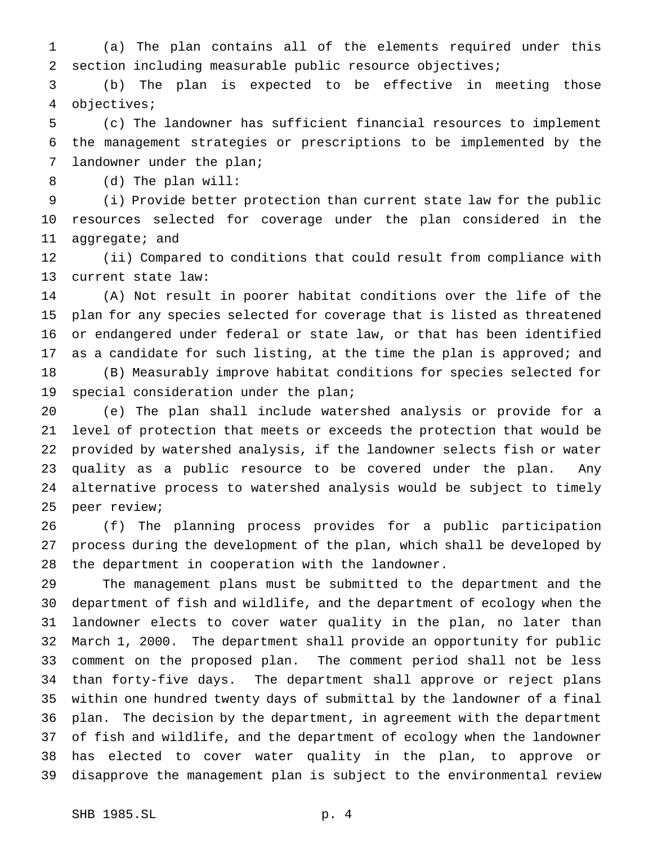(a) The plan contains all of the elements required under this section including measurable public resource objectives;

 (b) The plan is expected to be effective in meeting those objectives;

 (c) The landowner has sufficient financial resources to implement the management strategies or prescriptions to be implemented by the landowner under the plan;

(d) The plan will:

 (i) Provide better protection than current state law for the public resources selected for coverage under the plan considered in the aggregate; and

 (ii) Compared to conditions that could result from compliance with current state law:

 (A) Not result in poorer habitat conditions over the life of the plan for any species selected for coverage that is listed as threatened or endangered under federal or state law, or that has been identified 17 as a candidate for such listing, at the time the plan is approved; and (B) Measurably improve habitat conditions for species selected for

special consideration under the plan;

 (e) The plan shall include watershed analysis or provide for a level of protection that meets or exceeds the protection that would be provided by watershed analysis, if the landowner selects fish or water quality as a public resource to be covered under the plan. Any alternative process to watershed analysis would be subject to timely peer review;

 (f) The planning process provides for a public participation process during the development of the plan, which shall be developed by the department in cooperation with the landowner.

 The management plans must be submitted to the department and the department of fish and wildlife, and the department of ecology when the landowner elects to cover water quality in the plan, no later than March 1, 2000. The department shall provide an opportunity for public comment on the proposed plan. The comment period shall not be less than forty-five days. The department shall approve or reject plans within one hundred twenty days of submittal by the landowner of a final plan. The decision by the department, in agreement with the department of fish and wildlife, and the department of ecology when the landowner has elected to cover water quality in the plan, to approve or disapprove the management plan is subject to the environmental review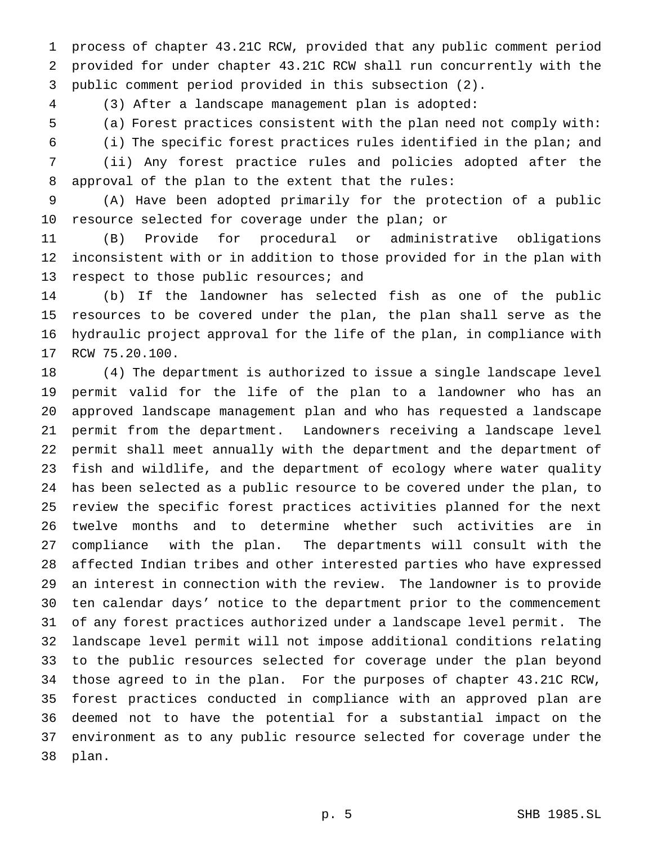process of chapter 43.21C RCW, provided that any public comment period provided for under chapter 43.21C RCW shall run concurrently with the public comment period provided in this subsection (2).

(3) After a landscape management plan is adopted:

(a) Forest practices consistent with the plan need not comply with:

(i) The specific forest practices rules identified in the plan; and

 (ii) Any forest practice rules and policies adopted after the approval of the plan to the extent that the rules:

 (A) Have been adopted primarily for the protection of a public resource selected for coverage under the plan; or

 (B) Provide for procedural or administrative obligations inconsistent with or in addition to those provided for in the plan with 13 respect to those public resources; and

 (b) If the landowner has selected fish as one of the public resources to be covered under the plan, the plan shall serve as the hydraulic project approval for the life of the plan, in compliance with RCW 75.20.100.

 (4) The department is authorized to issue a single landscape level permit valid for the life of the plan to a landowner who has an approved landscape management plan and who has requested a landscape permit from the department. Landowners receiving a landscape level permit shall meet annually with the department and the department of fish and wildlife, and the department of ecology where water quality has been selected as a public resource to be covered under the plan, to review the specific forest practices activities planned for the next twelve months and to determine whether such activities are in compliance with the plan. The departments will consult with the affected Indian tribes and other interested parties who have expressed an interest in connection with the review. The landowner is to provide ten calendar days' notice to the department prior to the commencement of any forest practices authorized under a landscape level permit. The landscape level permit will not impose additional conditions relating to the public resources selected for coverage under the plan beyond those agreed to in the plan. For the purposes of chapter 43.21C RCW, forest practices conducted in compliance with an approved plan are deemed not to have the potential for a substantial impact on the environment as to any public resource selected for coverage under the plan.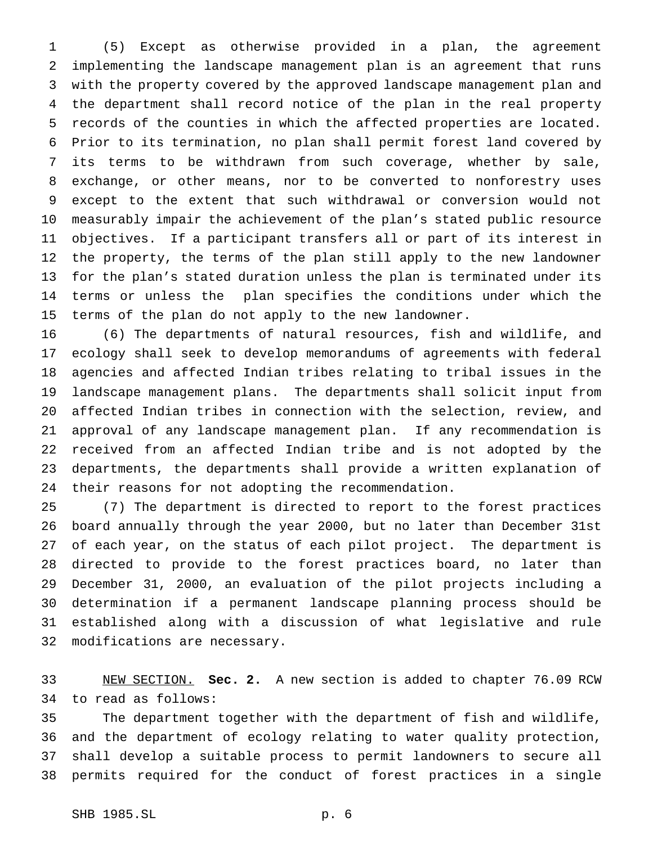(5) Except as otherwise provided in a plan, the agreement implementing the landscape management plan is an agreement that runs with the property covered by the approved landscape management plan and the department shall record notice of the plan in the real property records of the counties in which the affected properties are located. Prior to its termination, no plan shall permit forest land covered by its terms to be withdrawn from such coverage, whether by sale, exchange, or other means, nor to be converted to nonforestry uses except to the extent that such withdrawal or conversion would not measurably impair the achievement of the plan's stated public resource objectives. If a participant transfers all or part of its interest in the property, the terms of the plan still apply to the new landowner for the plan's stated duration unless the plan is terminated under its terms or unless the plan specifies the conditions under which the terms of the plan do not apply to the new landowner.

 (6) The departments of natural resources, fish and wildlife, and ecology shall seek to develop memorandums of agreements with federal agencies and affected Indian tribes relating to tribal issues in the landscape management plans. The departments shall solicit input from affected Indian tribes in connection with the selection, review, and approval of any landscape management plan. If any recommendation is received from an affected Indian tribe and is not adopted by the departments, the departments shall provide a written explanation of their reasons for not adopting the recommendation.

 (7) The department is directed to report to the forest practices board annually through the year 2000, but no later than December 31st of each year, on the status of each pilot project. The department is directed to provide to the forest practices board, no later than December 31, 2000, an evaluation of the pilot projects including a determination if a permanent landscape planning process should be established along with a discussion of what legislative and rule modifications are necessary.

 NEW SECTION. **Sec. 2.** A new section is added to chapter 76.09 RCW to read as follows:

 The department together with the department of fish and wildlife, and the department of ecology relating to water quality protection, shall develop a suitable process to permit landowners to secure all permits required for the conduct of forest practices in a single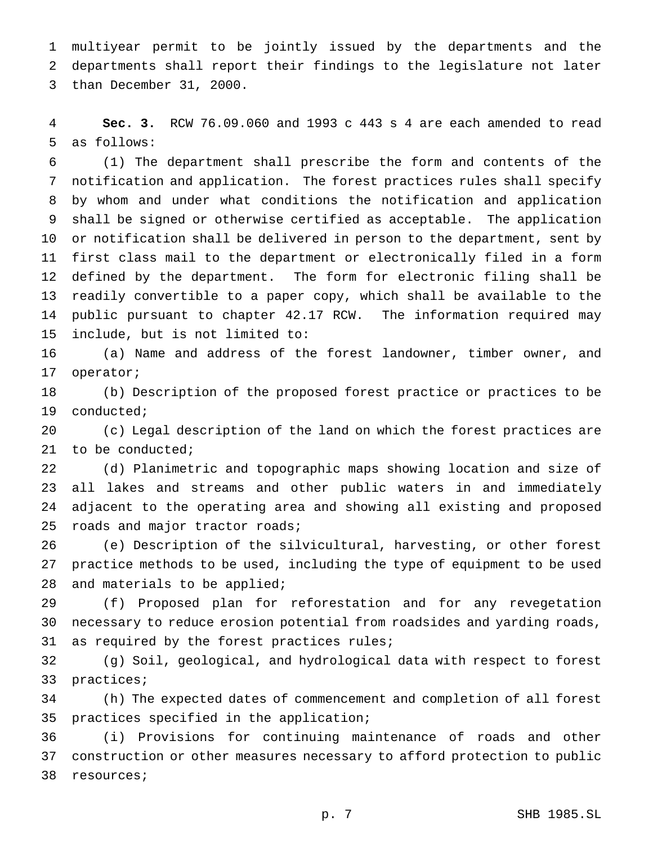multiyear permit to be jointly issued by the departments and the departments shall report their findings to the legislature not later than December 31, 2000.

 **Sec. 3.** RCW 76.09.060 and 1993 c 443 s 4 are each amended to read as follows:

 (1) The department shall prescribe the form and contents of the notification and application. The forest practices rules shall specify by whom and under what conditions the notification and application shall be signed or otherwise certified as acceptable. The application or notification shall be delivered in person to the department, sent by first class mail to the department or electronically filed in a form defined by the department. The form for electronic filing shall be readily convertible to a paper copy, which shall be available to the public pursuant to chapter 42.17 RCW. The information required may include, but is not limited to:

 (a) Name and address of the forest landowner, timber owner, and operator;

 (b) Description of the proposed forest practice or practices to be conducted;

 (c) Legal description of the land on which the forest practices are to be conducted;

 (d) Planimetric and topographic maps showing location and size of all lakes and streams and other public waters in and immediately adjacent to the operating area and showing all existing and proposed roads and major tractor roads;

 (e) Description of the silvicultural, harvesting, or other forest practice methods to be used, including the type of equipment to be used and materials to be applied;

 (f) Proposed plan for reforestation and for any revegetation necessary to reduce erosion potential from roadsides and yarding roads, as required by the forest practices rules;

 (g) Soil, geological, and hydrological data with respect to forest practices;

 (h) The expected dates of commencement and completion of all forest practices specified in the application;

 (i) Provisions for continuing maintenance of roads and other construction or other measures necessary to afford protection to public resources;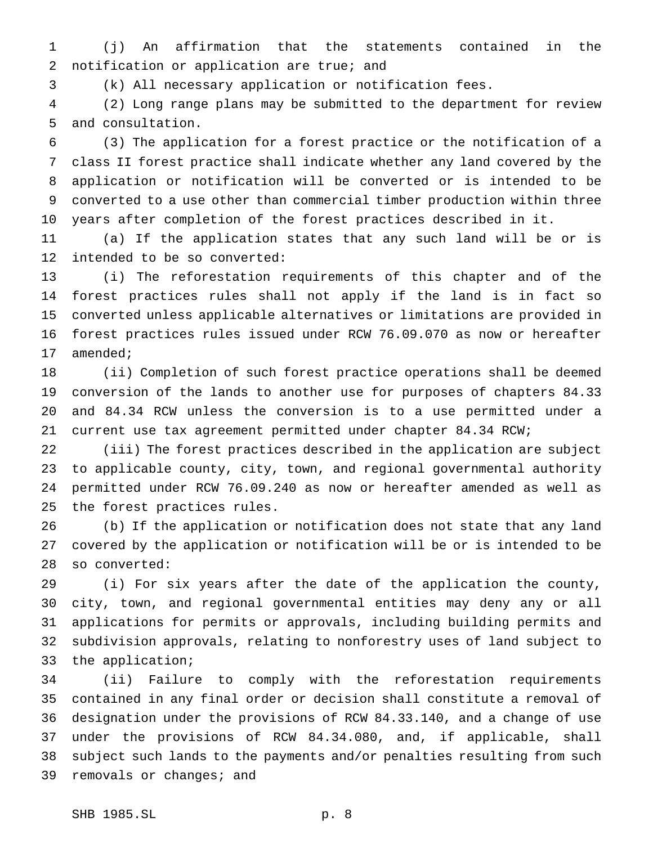(j) An affirmation that the statements contained in the 2 notification or application are true; and

(k) All necessary application or notification fees.

 (2) Long range plans may be submitted to the department for review and consultation.

 (3) The application for a forest practice or the notification of a class II forest practice shall indicate whether any land covered by the application or notification will be converted or is intended to be converted to a use other than commercial timber production within three years after completion of the forest practices described in it.

 (a) If the application states that any such land will be or is intended to be so converted:

 (i) The reforestation requirements of this chapter and of the forest practices rules shall not apply if the land is in fact so converted unless applicable alternatives or limitations are provided in forest practices rules issued under RCW 76.09.070 as now or hereafter amended;

 (ii) Completion of such forest practice operations shall be deemed conversion of the lands to another use for purposes of chapters 84.33 and 84.34 RCW unless the conversion is to a use permitted under a current use tax agreement permitted under chapter 84.34 RCW;

 (iii) The forest practices described in the application are subject to applicable county, city, town, and regional governmental authority permitted under RCW 76.09.240 as now or hereafter amended as well as the forest practices rules.

 (b) If the application or notification does not state that any land covered by the application or notification will be or is intended to be so converted:

 (i) For six years after the date of the application the county, city, town, and regional governmental entities may deny any or all applications for permits or approvals, including building permits and subdivision approvals, relating to nonforestry uses of land subject to the application;

 (ii) Failure to comply with the reforestation requirements contained in any final order or decision shall constitute a removal of designation under the provisions of RCW 84.33.140, and a change of use under the provisions of RCW 84.34.080, and, if applicable, shall subject such lands to the payments and/or penalties resulting from such removals or changes; and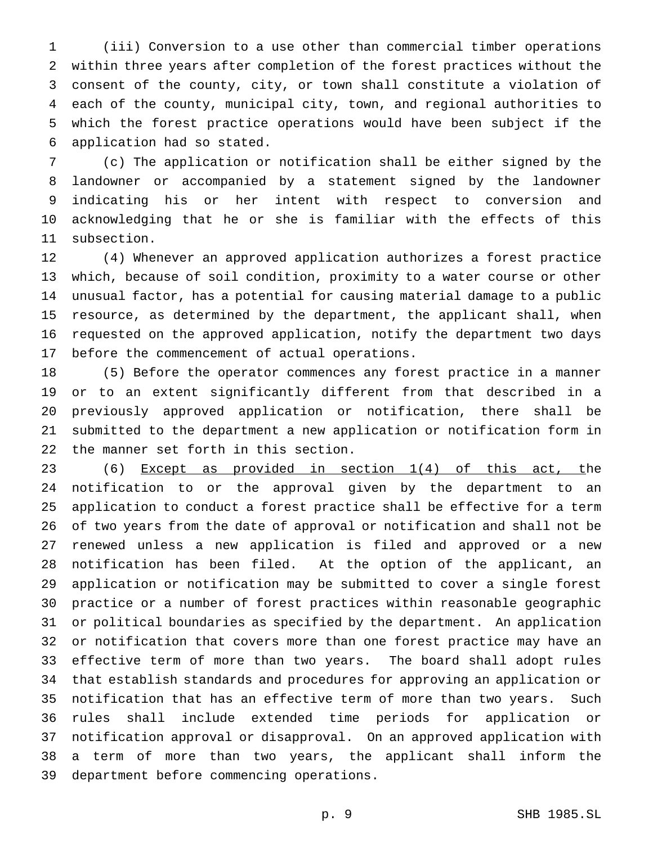(iii) Conversion to a use other than commercial timber operations within three years after completion of the forest practices without the consent of the county, city, or town shall constitute a violation of each of the county, municipal city, town, and regional authorities to which the forest practice operations would have been subject if the application had so stated.

 (c) The application or notification shall be either signed by the landowner or accompanied by a statement signed by the landowner indicating his or her intent with respect to conversion and acknowledging that he or she is familiar with the effects of this subsection.

 (4) Whenever an approved application authorizes a forest practice which, because of soil condition, proximity to a water course or other unusual factor, has a potential for causing material damage to a public resource, as determined by the department, the applicant shall, when requested on the approved application, notify the department two days before the commencement of actual operations.

 (5) Before the operator commences any forest practice in a manner or to an extent significantly different from that described in a previously approved application or notification, there shall be submitted to the department a new application or notification form in the manner set forth in this section.

 (6) Except as provided in section 1(4) of this act, the notification to or the approval given by the department to an application to conduct a forest practice shall be effective for a term of two years from the date of approval or notification and shall not be renewed unless a new application is filed and approved or a new notification has been filed. At the option of the applicant, an application or notification may be submitted to cover a single forest practice or a number of forest practices within reasonable geographic or political boundaries as specified by the department. An application or notification that covers more than one forest practice may have an effective term of more than two years. The board shall adopt rules that establish standards and procedures for approving an application or notification that has an effective term of more than two years. Such rules shall include extended time periods for application or notification approval or disapproval. On an approved application with a term of more than two years, the applicant shall inform the department before commencing operations.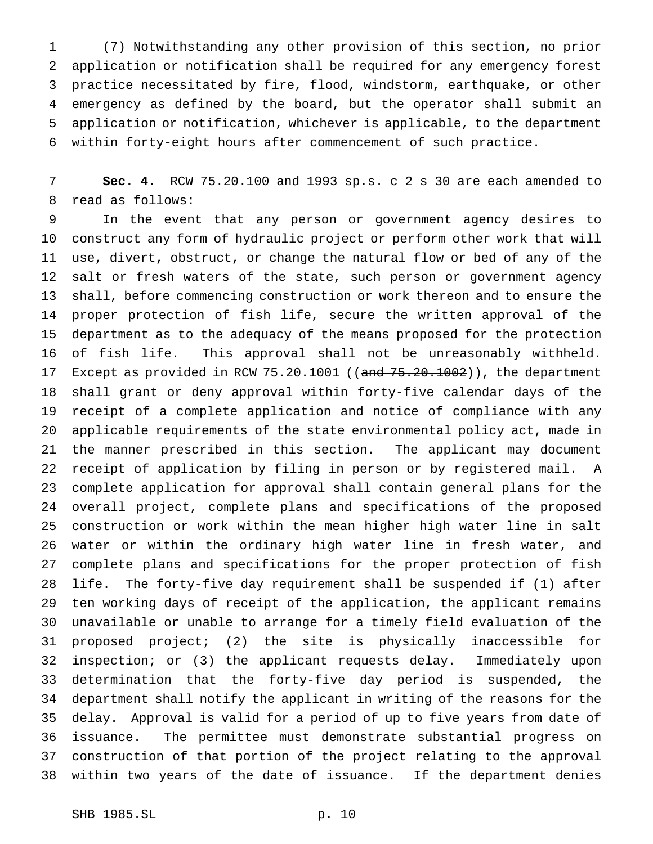(7) Notwithstanding any other provision of this section, no prior application or notification shall be required for any emergency forest practice necessitated by fire, flood, windstorm, earthquake, or other emergency as defined by the board, but the operator shall submit an application or notification, whichever is applicable, to the department within forty-eight hours after commencement of such practice.

 **Sec. 4.** RCW 75.20.100 and 1993 sp.s. c 2 s 30 are each amended to read as follows:

 In the event that any person or government agency desires to construct any form of hydraulic project or perform other work that will use, divert, obstruct, or change the natural flow or bed of any of the salt or fresh waters of the state, such person or government agency shall, before commencing construction or work thereon and to ensure the proper protection of fish life, secure the written approval of the department as to the adequacy of the means proposed for the protection of fish life. This approval shall not be unreasonably withheld. 17 Except as provided in RCW 75.20.1001 ((and 75.20.1002)), the department shall grant or deny approval within forty-five calendar days of the receipt of a complete application and notice of compliance with any applicable requirements of the state environmental policy act, made in the manner prescribed in this section. The applicant may document receipt of application by filing in person or by registered mail. A complete application for approval shall contain general plans for the overall project, complete plans and specifications of the proposed construction or work within the mean higher high water line in salt water or within the ordinary high water line in fresh water, and complete plans and specifications for the proper protection of fish life. The forty-five day requirement shall be suspended if (1) after ten working days of receipt of the application, the applicant remains unavailable or unable to arrange for a timely field evaluation of the proposed project; (2) the site is physically inaccessible for inspection; or (3) the applicant requests delay. Immediately upon determination that the forty-five day period is suspended, the department shall notify the applicant in writing of the reasons for the delay. Approval is valid for a period of up to five years from date of issuance. The permittee must demonstrate substantial progress on construction of that portion of the project relating to the approval within two years of the date of issuance. If the department denies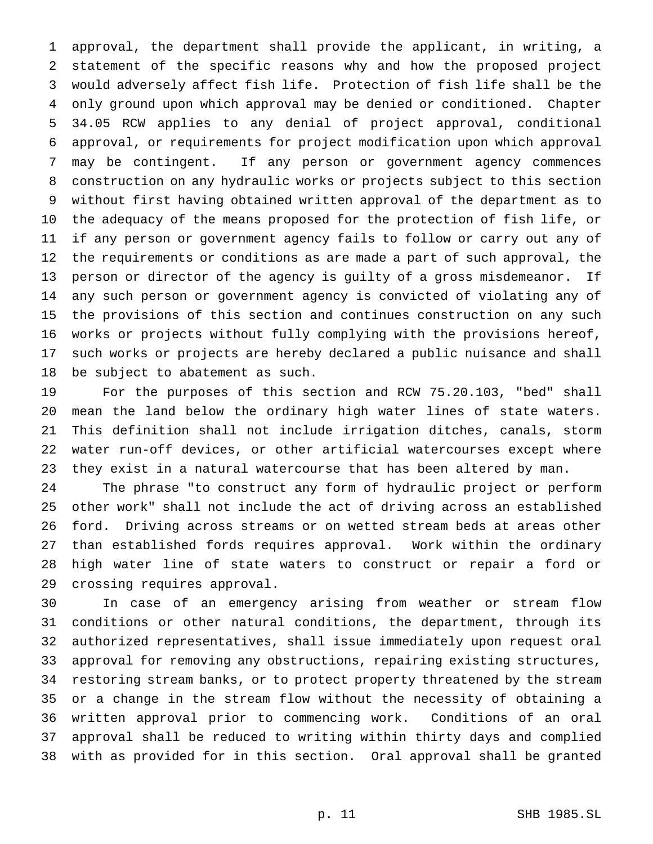approval, the department shall provide the applicant, in writing, a statement of the specific reasons why and how the proposed project would adversely affect fish life. Protection of fish life shall be the only ground upon which approval may be denied or conditioned. Chapter 34.05 RCW applies to any denial of project approval, conditional approval, or requirements for project modification upon which approval may be contingent. If any person or government agency commences construction on any hydraulic works or projects subject to this section without first having obtained written approval of the department as to the adequacy of the means proposed for the protection of fish life, or if any person or government agency fails to follow or carry out any of the requirements or conditions as are made a part of such approval, the person or director of the agency is guilty of a gross misdemeanor. If any such person or government agency is convicted of violating any of the provisions of this section and continues construction on any such works or projects without fully complying with the provisions hereof, such works or projects are hereby declared a public nuisance and shall be subject to abatement as such.

 For the purposes of this section and RCW 75.20.103, "bed" shall mean the land below the ordinary high water lines of state waters. This definition shall not include irrigation ditches, canals, storm water run-off devices, or other artificial watercourses except where they exist in a natural watercourse that has been altered by man.

 The phrase "to construct any form of hydraulic project or perform other work" shall not include the act of driving across an established ford. Driving across streams or on wetted stream beds at areas other than established fords requires approval. Work within the ordinary high water line of state waters to construct or repair a ford or crossing requires approval.

 In case of an emergency arising from weather or stream flow conditions or other natural conditions, the department, through its authorized representatives, shall issue immediately upon request oral approval for removing any obstructions, repairing existing structures, restoring stream banks, or to protect property threatened by the stream or a change in the stream flow without the necessity of obtaining a written approval prior to commencing work. Conditions of an oral approval shall be reduced to writing within thirty days and complied with as provided for in this section. Oral approval shall be granted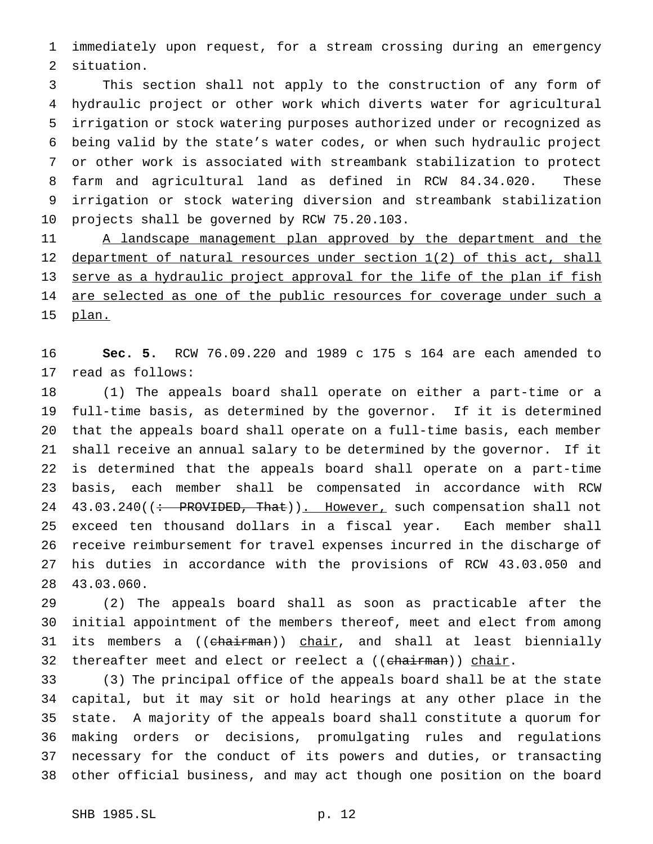immediately upon request, for a stream crossing during an emergency situation.

 This section shall not apply to the construction of any form of hydraulic project or other work which diverts water for agricultural irrigation or stock watering purposes authorized under or recognized as being valid by the state's water codes, or when such hydraulic project or other work is associated with streambank stabilization to protect farm and agricultural land as defined in RCW 84.34.020. These irrigation or stock watering diversion and streambank stabilization projects shall be governed by RCW 75.20.103.

11 A landscape management plan approved by the department and the 12 department of natural resources under section 1(2) of this act, shall 13 serve as a hydraulic project approval for the life of the plan if fish 14 are selected as one of the public resources for coverage under such a plan.

 **Sec. 5.** RCW 76.09.220 and 1989 c 175 s 164 are each amended to read as follows:

 (1) The appeals board shall operate on either a part-time or a full-time basis, as determined by the governor. If it is determined that the appeals board shall operate on a full-time basis, each member shall receive an annual salary to be determined by the governor. If it is determined that the appeals board shall operate on a part-time basis, each member shall be compensated in accordance with RCW 24 43.03.240((: PROVIDED, That)). However, such compensation shall not exceed ten thousand dollars in a fiscal year. Each member shall receive reimbursement for travel expenses incurred in the discharge of his duties in accordance with the provisions of RCW 43.03.050 and 43.03.060.

 (2) The appeals board shall as soon as practicable after the initial appointment of the members thereof, meet and elect from among 31 its members a ((chairman)) chair, and shall at least biennially 32 thereafter meet and elect or reelect a ((chairman)) chair.

 (3) The principal office of the appeals board shall be at the state capital, but it may sit or hold hearings at any other place in the state. A majority of the appeals board shall constitute a quorum for making orders or decisions, promulgating rules and regulations necessary for the conduct of its powers and duties, or transacting other official business, and may act though one position on the board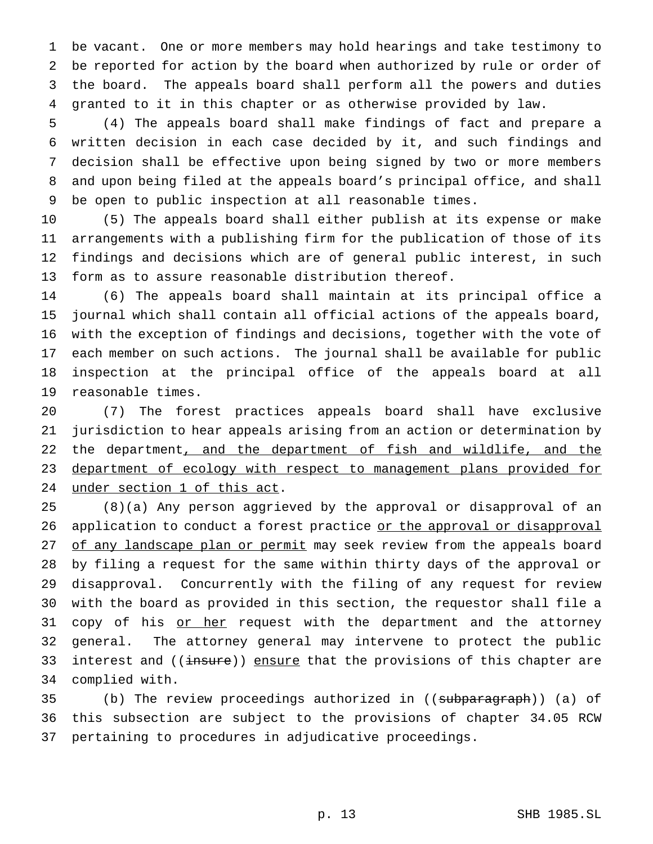be vacant. One or more members may hold hearings and take testimony to be reported for action by the board when authorized by rule or order of the board. The appeals board shall perform all the powers and duties granted to it in this chapter or as otherwise provided by law.

 (4) The appeals board shall make findings of fact and prepare a written decision in each case decided by it, and such findings and decision shall be effective upon being signed by two or more members and upon being filed at the appeals board's principal office, and shall be open to public inspection at all reasonable times.

 (5) The appeals board shall either publish at its expense or make arrangements with a publishing firm for the publication of those of its findings and decisions which are of general public interest, in such form as to assure reasonable distribution thereof.

 (6) The appeals board shall maintain at its principal office a journal which shall contain all official actions of the appeals board, with the exception of findings and decisions, together with the vote of each member on such actions. The journal shall be available for public inspection at the principal office of the appeals board at all reasonable times.

 (7) The forest practices appeals board shall have exclusive jurisdiction to hear appeals arising from an action or determination by 22 the department, and the department of fish and wildlife, and the department of ecology with respect to management plans provided for under section 1 of this act.

 (8)(a) Any person aggrieved by the approval or disapproval of an 26 application to conduct a forest practice or the approval or disapproval 27 of any landscape plan or permit may seek review from the appeals board by filing a request for the same within thirty days of the approval or disapproval. Concurrently with the filing of any request for review with the board as provided in this section, the requestor shall file a 31 copy of his or her request with the department and the attorney general. The attorney general may intervene to protect the public 33 interest and ((insure)) ensure that the provisions of this chapter are complied with.

35 (b) The review proceedings authorized in ((subparagraph)) (a) of this subsection are subject to the provisions of chapter 34.05 RCW pertaining to procedures in adjudicative proceedings.